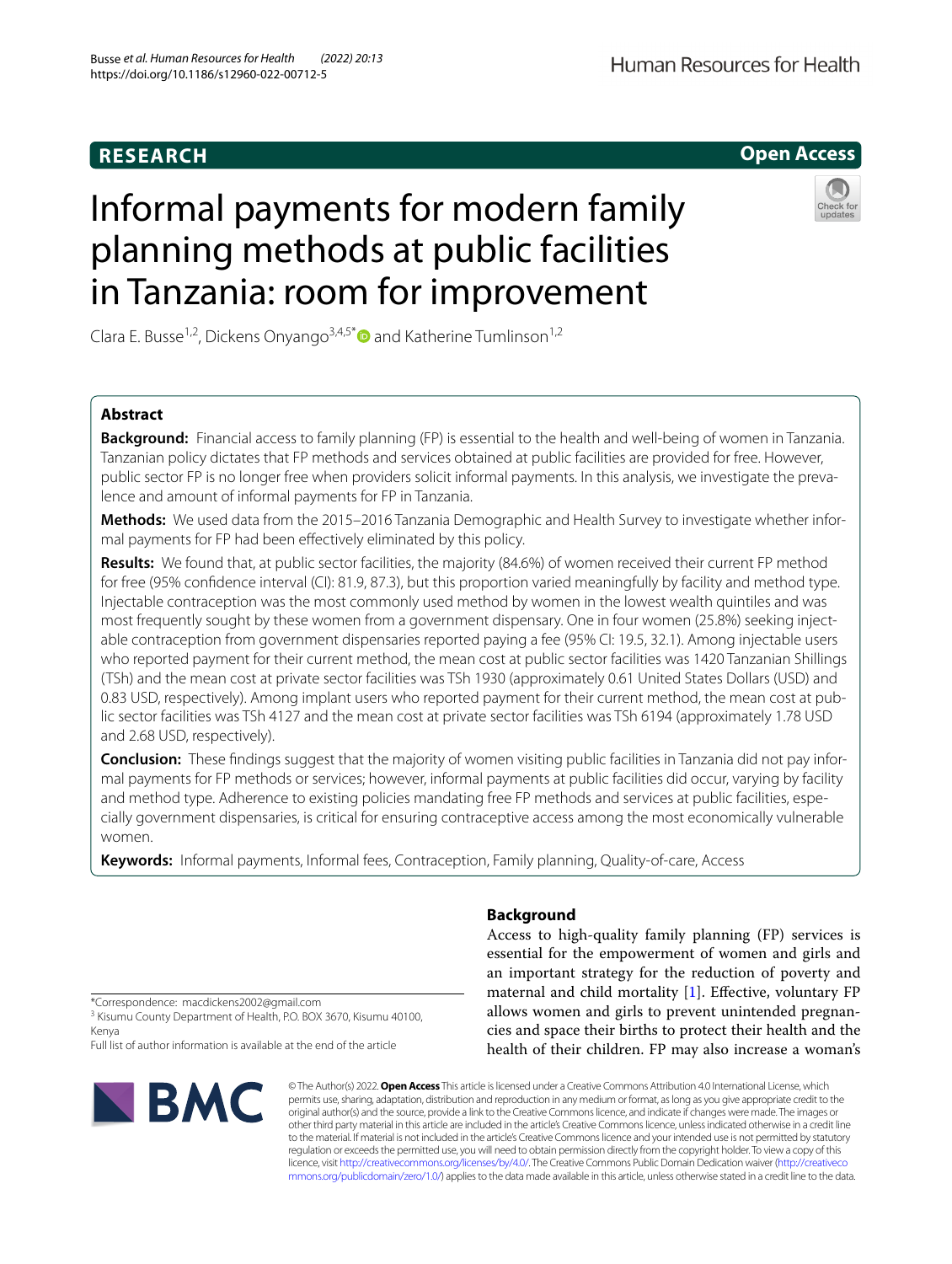## **RESEARCH**

# Human Resources for Health

**Open Access**

# Informal payments for modern family planning methods at public facilities in Tanzania: room for improvement



Clara E. Busse<sup>1,2</sup>, Dickens Onyango<sup>3,4,5[\\*](http://orcid.org/0000-0002-1634-0531)</sup> and Katherine Tumlinson<sup>1,2</sup>

## **Abstract**

**Background:** Financial access to family planning (FP) is essential to the health and well-being of women in Tanzania. Tanzanian policy dictates that FP methods and services obtained at public facilities are provided for free. However, public sector FP is no longer free when providers solicit informal payments. In this analysis, we investigate the prevalence and amount of informal payments for FP in Tanzania.

**Methods:** We used data from the 2015–2016 Tanzania Demographic and Health Survey to investigate whether informal payments for FP had been efectively eliminated by this policy.

**Results:** We found that, at public sector facilities, the majority (84.6%) of women received their current FP method for free (95% confdence interval (CI): 81.9, 87.3), but this proportion varied meaningfully by facility and method type. Injectable contraception was the most commonly used method by women in the lowest wealth quintiles and was most frequently sought by these women from a government dispensary. One in four women (25.8%) seeking injectable contraception from government dispensaries reported paying a fee (95% CI: 19.5, 32.1). Among injectable users who reported payment for their current method, the mean cost at public sector facilities was 1420 Tanzanian Shillings (TSh) and the mean cost at private sector facilities was TSh 1930 (approximately 0.61 United States Dollars (USD) and 0.83 USD, respectively). Among implant users who reported payment for their current method, the mean cost at public sector facilities was TSh 4127 and the mean cost at private sector facilities was TSh 6194 (approximately 1.78 USD and 2.68 USD, respectively).

**Conclusion:** These fndings suggest that the majority of women visiting public facilities in Tanzania did not pay informal payments for FP methods or services; however, informal payments at public facilities did occur, varying by facility and method type. Adherence to existing policies mandating free FP methods and services at public facilities, especially government dispensaries, is critical for ensuring contraceptive access among the most economically vulnerable women.

**Keywords:** Informal payments, Informal fees, Contraception, Family planning, Quality-of-care, Access

## **Background**

Access to high-quality family planning (FP) services is essential for the empowerment of women and girls and an important strategy for the reduction of poverty and maternal and child mortality [[1\]](#page-8-0). Efective, voluntary FP allows women and girls to prevent unintended pregnancies and space their births to protect their health and the health of their children. FP may also increase a woman's

\*Correspondence: macdickens2002@gmail.com

<sup>3</sup> Kisumu County Department of Health, P.O. BOX 3670, Kisumu 40100, Kenya

Full list of author information is available at the end of the article



© The Author(s) 2022. **Open Access** This article is licensed under a Creative Commons Attribution 4.0 International License, which permits use, sharing, adaptation, distribution and reproduction in any medium or format, as long as you give appropriate credit to the original author(s) and the source, provide a link to the Creative Commons licence, and indicate if changes were made. The images or other third party material in this article are included in the article's Creative Commons licence, unless indicated otherwise in a credit line to the material. If material is not included in the article's Creative Commons licence and your intended use is not permitted by statutory regulation or exceeds the permitted use, you will need to obtain permission directly from the copyright holder. To view a copy of this licence, visit [http://creativecommons.org/licenses/by/4.0/.](http://creativecommons.org/licenses/by/4.0/) The Creative Commons Public Domain Dedication waiver ([http://creativeco](http://creativecommons.org/publicdomain/zero/1.0/) [mmons.org/publicdomain/zero/1.0/](http://creativecommons.org/publicdomain/zero/1.0/)) applies to the data made available in this article, unless otherwise stated in a credit line to the data.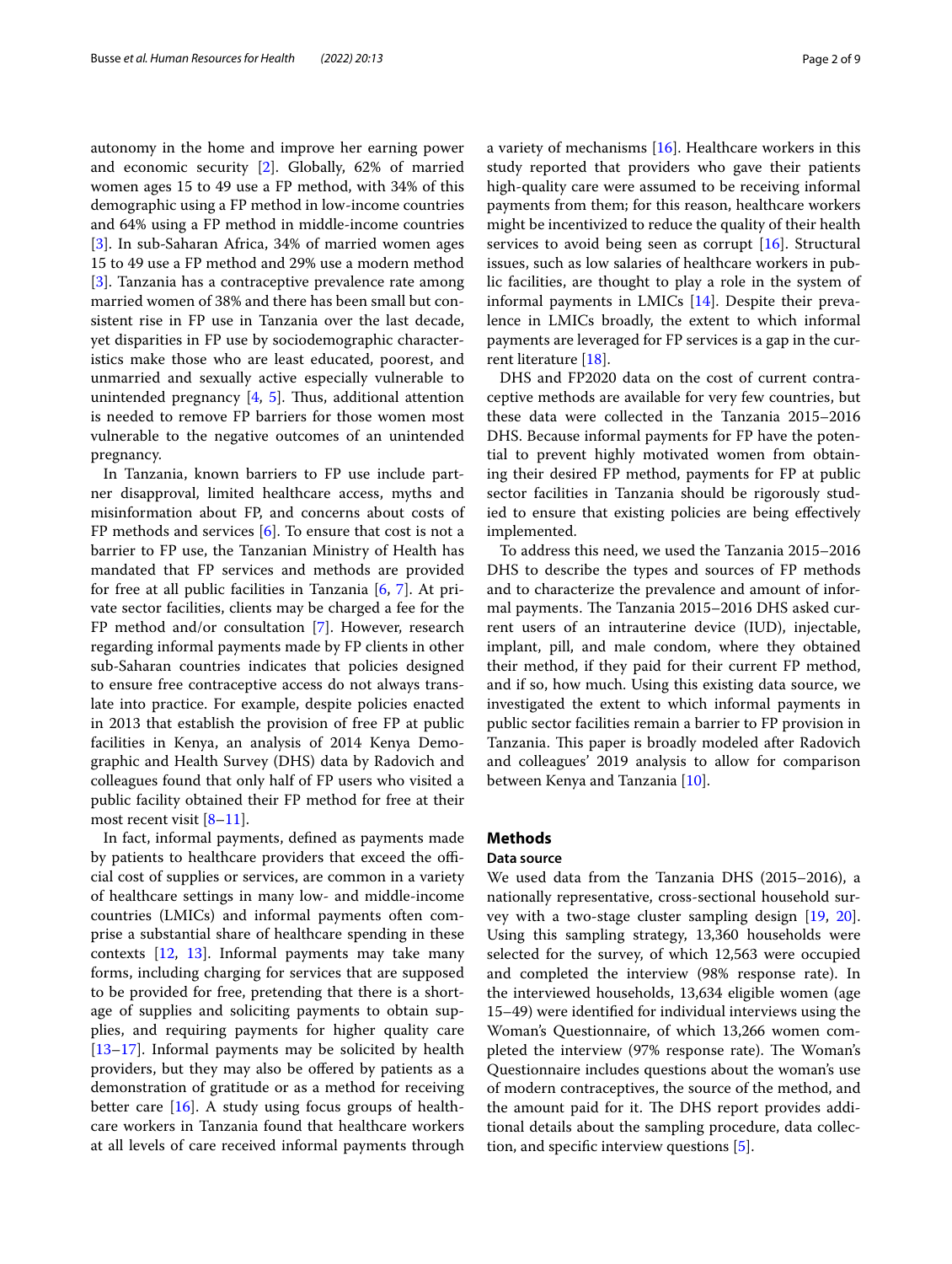autonomy in the home and improve her earning power and economic security [\[2](#page-8-1)]. Globally, 62% of married women ages 15 to 49 use a FP method, with 34% of this demographic using a FP method in low-income countries and 64% using a FP method in middle-income countries [[3\]](#page-8-2). In sub-Saharan Africa, 34% of married women ages 15 to 49 use a FP method and 29% use a modern method [[3\]](#page-8-2). Tanzania has a contraceptive prevalence rate among married women of 38% and there has been small but consistent rise in FP use in Tanzania over the last decade, yet disparities in FP use by sociodemographic characteristics make those who are least educated, poorest, and unmarried and sexually active especially vulnerable to unintended pregnancy  $[4, 5]$  $[4, 5]$  $[4, 5]$  $[4, 5]$ . Thus, additional attention is needed to remove FP barriers for those women most vulnerable to the negative outcomes of an unintended pregnancy.

In Tanzania, known barriers to FP use include partner disapproval, limited healthcare access, myths and misinformation about FP, and concerns about costs of FP methods and services [\[6](#page-8-5)]. To ensure that cost is not a barrier to FP use, the Tanzanian Ministry of Health has mandated that FP services and methods are provided for free at all public facilities in Tanzania [\[6](#page-8-5), [7\]](#page-8-6). At private sector facilities, clients may be charged a fee for the FP method and/or consultation [\[7](#page-8-6)]. However, research regarding informal payments made by FP clients in other sub-Saharan countries indicates that policies designed to ensure free contraceptive access do not always translate into practice. For example, despite policies enacted in 2013 that establish the provision of free FP at public facilities in Kenya, an analysis of 2014 Kenya Demographic and Health Survey (DHS) data by Radovich and colleagues found that only half of FP users who visited a public facility obtained their FP method for free at their most recent visit  $[8-11]$  $[8-11]$ .

In fact, informal payments, defned as payments made by patients to healthcare providers that exceed the official cost of supplies or services, are common in a variety of healthcare settings in many low- and middle-income countries (LMICs) and informal payments often comprise a substantial share of healthcare spending in these contexts [[12](#page-8-9), [13\]](#page-8-10). Informal payments may take many forms, including charging for services that are supposed to be provided for free, pretending that there is a shortage of supplies and soliciting payments to obtain supplies, and requiring payments for higher quality care [[13–](#page-8-10)[17](#page-8-11)]. Informal payments may be solicited by health providers, but they may also be ofered by patients as a demonstration of gratitude or as a method for receiving better care  $[16]$  $[16]$ . A study using focus groups of healthcare workers in Tanzania found that healthcare workers at all levels of care received informal payments through a variety of mechanisms [\[16\]](#page-8-12). Healthcare workers in this study reported that providers who gave their patients high-quality care were assumed to be receiving informal payments from them; for this reason, healthcare workers might be incentivized to reduce the quality of their health services to avoid being seen as corrupt [\[16](#page-8-12)]. Structural issues, such as low salaries of healthcare workers in public facilities, are thought to play a role in the system of informal payments in LMICs [[14\]](#page-8-13). Despite their prevalence in LMICs broadly, the extent to which informal payments are leveraged for FP services is a gap in the current literature [[18\]](#page-8-14).

DHS and FP2020 data on the cost of current contraceptive methods are available for very few countries, but these data were collected in the Tanzania 2015–2016 DHS. Because informal payments for FP have the potential to prevent highly motivated women from obtaining their desired FP method, payments for FP at public sector facilities in Tanzania should be rigorously studied to ensure that existing policies are being efectively implemented.

To address this need, we used the Tanzania 2015–2016 DHS to describe the types and sources of FP methods and to characterize the prevalence and amount of informal payments. The Tanzania 2015–2016 DHS asked current users of an intrauterine device (IUD), injectable, implant, pill, and male condom, where they obtained their method, if they paid for their current FP method, and if so, how much. Using this existing data source, we investigated the extent to which informal payments in public sector facilities remain a barrier to FP provision in Tanzania. This paper is broadly modeled after Radovich and colleagues' 2019 analysis to allow for comparison between Kenya and Tanzania [\[10](#page-8-15)].

## **Methods**

## **Data source**

We used data from the Tanzania DHS (2015–2016), a nationally representative, cross-sectional household survey with a two-stage cluster sampling design [[19,](#page-8-16) [20](#page-8-17)]. Using this sampling strategy, 13,360 households were selected for the survey, of which 12,563 were occupied and completed the interview (98% response rate). In the interviewed households, 13,634 eligible women (age 15–49) were identifed for individual interviews using the Woman's Questionnaire, of which 13,266 women completed the interview (97% response rate). The Woman's Questionnaire includes questions about the woman's use of modern contraceptives, the source of the method, and the amount paid for it. The DHS report provides additional details about the sampling procedure, data collection, and specifc interview questions [[5\]](#page-8-4).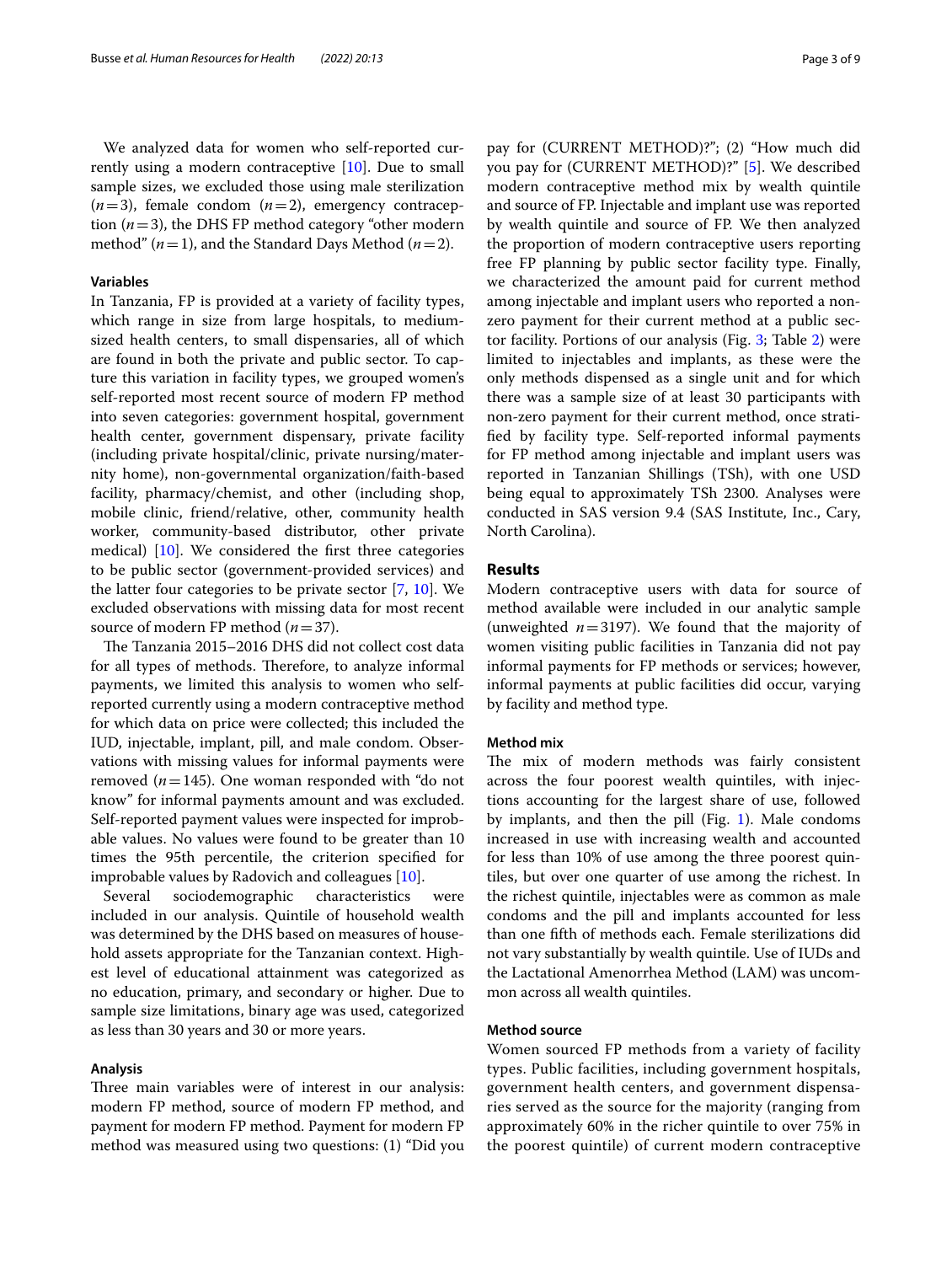We analyzed data for women who self-reported currently using a modern contraceptive [[10\]](#page-8-15). Due to small sample sizes, we excluded those using male sterilization  $(n=3)$ , female condom  $(n=2)$ , emergency contraception (*n*=3), the DHS FP method category "other modern method" ( $n=1$ ), and the Standard Days Method ( $n=2$ ).

## **Variables**

In Tanzania, FP is provided at a variety of facility types, which range in size from large hospitals, to mediumsized health centers, to small dispensaries, all of which are found in both the private and public sector. To capture this variation in facility types, we grouped women's self-reported most recent source of modern FP method into seven categories: government hospital, government health center, government dispensary, private facility (including private hospital/clinic, private nursing/maternity home), non-governmental organization/faith-based facility, pharmacy/chemist, and other (including shop, mobile clinic, friend/relative, other, community health worker, community-based distributor, other private medical) [[10](#page-8-15)]. We considered the frst three categories to be public sector (government-provided services) and the latter four categories to be private sector [\[7](#page-8-6), [10](#page-8-15)]. We excluded observations with missing data for most recent source of modern FP method (*n*=37).

The Tanzania 2015–2016 DHS did not collect cost data for all types of methods. Therefore, to analyze informal payments, we limited this analysis to women who selfreported currently using a modern contraceptive method for which data on price were collected; this included the IUD, injectable, implant, pill, and male condom. Observations with missing values for informal payments were removed  $(n=145)$ . One woman responded with "do not know" for informal payments amount and was excluded. Self-reported payment values were inspected for improbable values. No values were found to be greater than 10 times the 95th percentile, the criterion specifed for improbable values by Radovich and colleagues [[10\]](#page-8-15).

Several sociodemographic characteristics were included in our analysis. Quintile of household wealth was determined by the DHS based on measures of household assets appropriate for the Tanzanian context. Highest level of educational attainment was categorized as no education, primary, and secondary or higher. Due to sample size limitations, binary age was used, categorized as less than 30 years and 30 or more years.

## **Analysis**

Three main variables were of interest in our analysis: modern FP method, source of modern FP method, and payment for modern FP method. Payment for modern FP method was measured using two questions: (1) "Did you pay for (CURRENT METHOD)?"; (2) "How much did you pay for (CURRENT METHOD)?" [[5](#page-8-4)]. We described modern contraceptive method mix by wealth quintile and source of FP. Injectable and implant use was reported by wealth quintile and source of FP. We then analyzed the proportion of modern contraceptive users reporting free FP planning by public sector facility type. Finally, we characterized the amount paid for current method among injectable and implant users who reported a nonzero payment for their current method at a public sector facility. Portions of our analysis (Fig. [3;](#page-4-0) Table [2\)](#page-5-0) were limited to injectables and implants, as these were the only methods dispensed as a single unit and for which there was a sample size of at least 30 participants with non-zero payment for their current method, once stratifed by facility type. Self-reported informal payments for FP method among injectable and implant users was reported in Tanzanian Shillings (TSh), with one USD being equal to approximately TSh 2300. Analyses were conducted in SAS version 9.4 (SAS Institute, Inc., Cary, North Carolina).

## **Results**

Modern contraceptive users with data for source of method available were included in our analytic sample (unweighted *n*=3197). We found that the majority of women visiting public facilities in Tanzania did not pay informal payments for FP methods or services; however, informal payments at public facilities did occur, varying by facility and method type.

## **Method mix**

The mix of modern methods was fairly consistent across the four poorest wealth quintiles, with injections accounting for the largest share of use, followed by implants, and then the pill (Fig. [1](#page-3-0)). Male condoms increased in use with increasing wealth and accounted for less than 10% of use among the three poorest quintiles, but over one quarter of use among the richest. In the richest quintile, injectables were as common as male condoms and the pill and implants accounted for less than one ffth of methods each. Female sterilizations did not vary substantially by wealth quintile. Use of IUDs and the Lactational Amenorrhea Method (LAM) was uncommon across all wealth quintiles.

## **Method source**

Women sourced FP methods from a variety of facility types. Public facilities, including government hospitals, government health centers, and government dispensaries served as the source for the majority (ranging from approximately 60% in the richer quintile to over 75% in the poorest quintile) of current modern contraceptive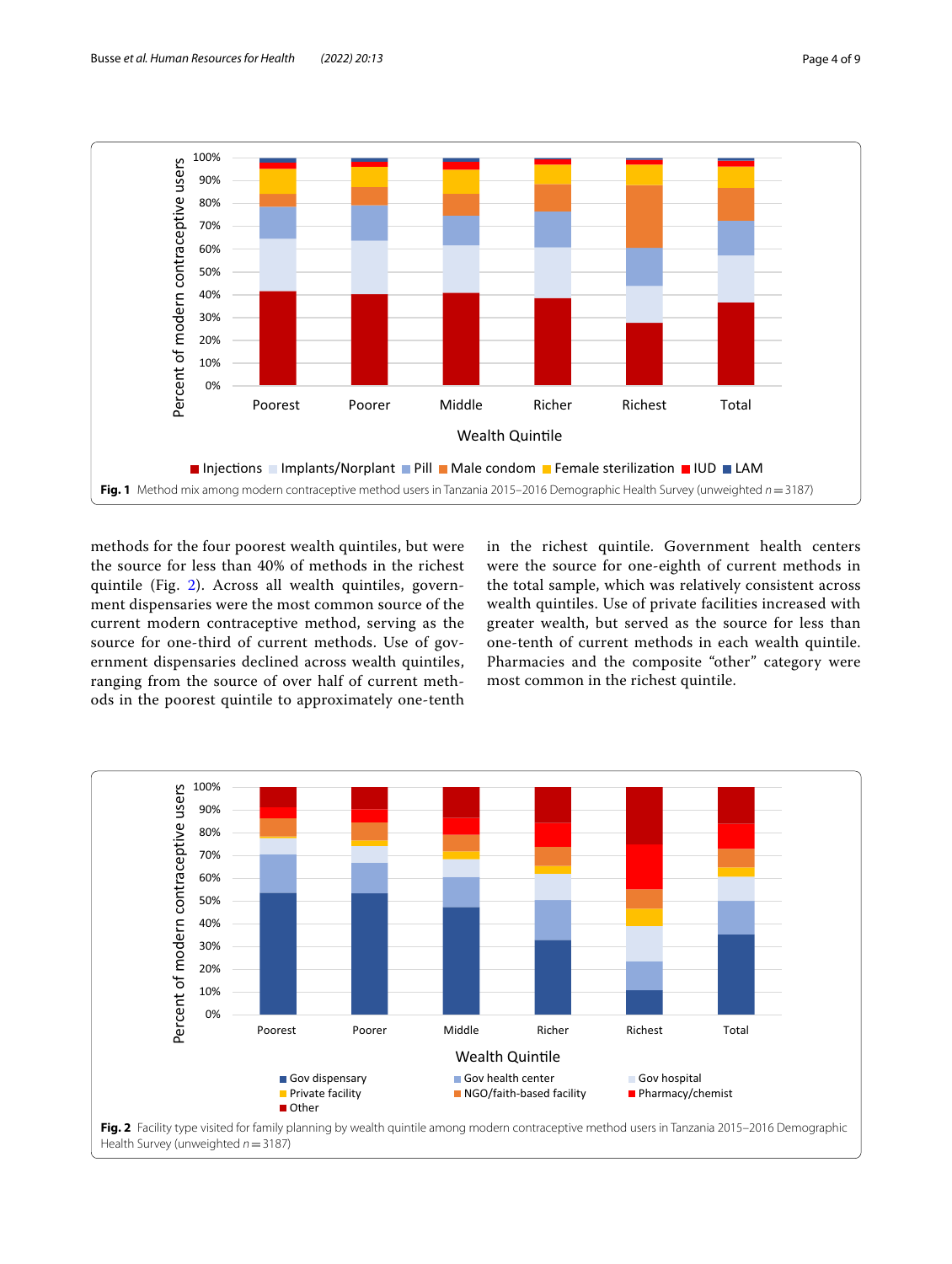

<span id="page-3-0"></span>methods for the four poorest wealth quintiles, but were the source for less than 40% of methods in the richest quintile (Fig. [2\)](#page-3-1). Across all wealth quintiles, government dispensaries were the most common source of the current modern contraceptive method, serving as the source for one-third of current methods. Use of government dispensaries declined across wealth quintiles, ranging from the source of over half of current methods in the poorest quintile to approximately one-tenth in the richest quintile. Government health centers were the source for one-eighth of current methods in the total sample, which was relatively consistent across wealth quintiles. Use of private facilities increased with greater wealth, but served as the source for less than one-tenth of current methods in each wealth quintile. Pharmacies and the composite "other" category were most common in the richest quintile.

<span id="page-3-1"></span>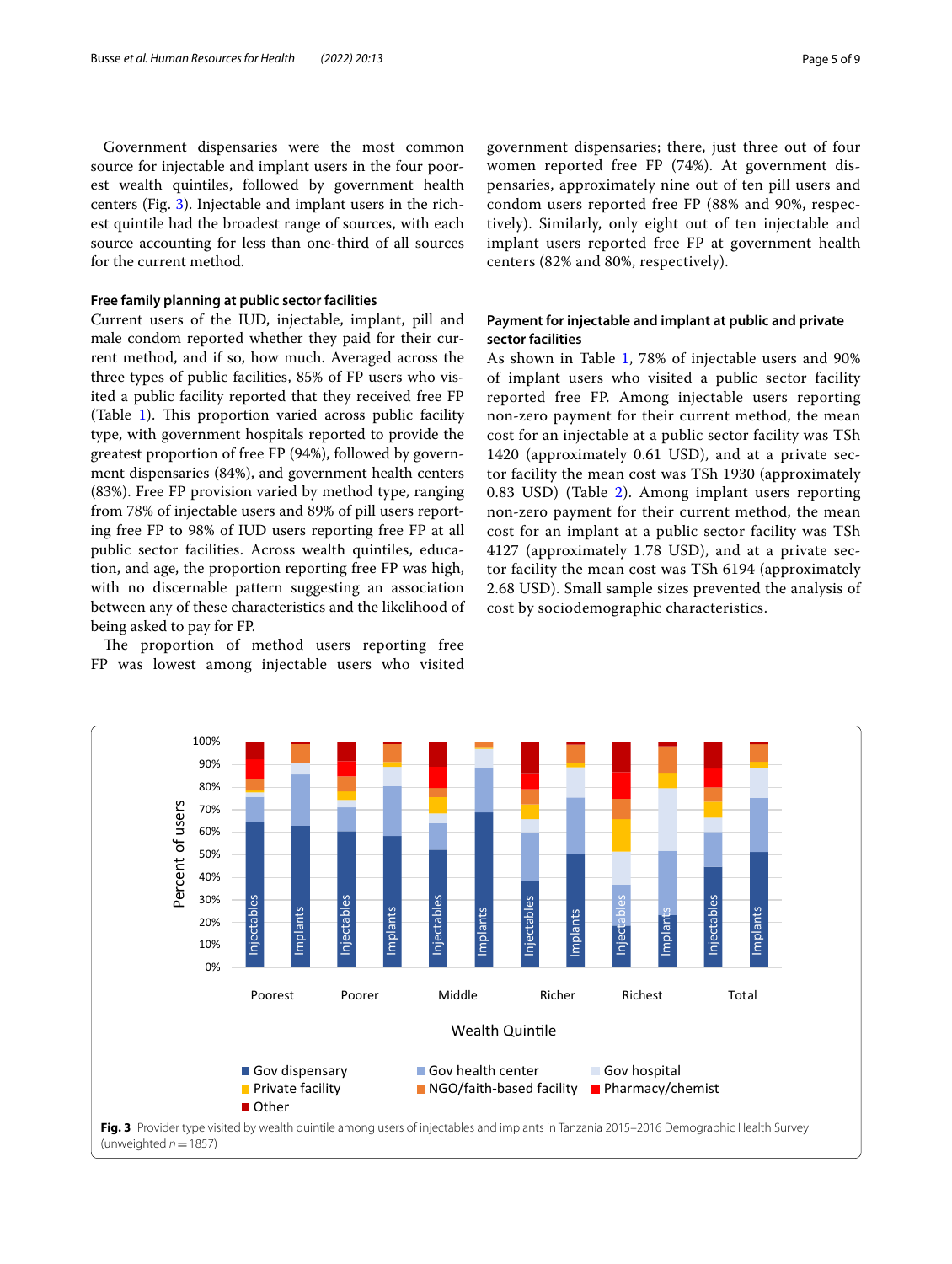Government dispensaries were the most common source for injectable and implant users in the four poorest wealth quintiles, followed by government health centers (Fig. [3\)](#page-4-0). Injectable and implant users in the richest quintile had the broadest range of sources, with each source accounting for less than one-third of all sources for the current method.

## **Free family planning at public sector facilities**

Current users of the IUD, injectable, implant, pill and male condom reported whether they paid for their current method, and if so, how much. Averaged across the three types of public facilities, 85% of FP users who visited a public facility reported that they received free FP (Table  $1$ ). This proportion varied across public facility type, with government hospitals reported to provide the greatest proportion of free FP (94%), followed by government dispensaries (84%), and government health centers (83%). Free FP provision varied by method type, ranging from 78% of injectable users and 89% of pill users reporting free FP to 98% of IUD users reporting free FP at all public sector facilities. Across wealth quintiles, education, and age, the proportion reporting free FP was high, with no discernable pattern suggesting an association between any of these characteristics and the likelihood of being asked to pay for FP.

The proportion of method users reporting free FP was lowest among injectable users who visited government dispensaries; there, just three out of four women reported free FP (74%). At government dispensaries, approximately nine out of ten pill users and condom users reported free FP (88% and 90%, respectively). Similarly, only eight out of ten injectable and implant users reported free FP at government health centers (82% and 80%, respectively).

## **Payment for injectable and implant at public and private sector facilities**

As shown in Table [1,](#page-5-1) 78% of injectable users and 90% of implant users who visited a public sector facility reported free FP. Among injectable users reporting non-zero payment for their current method, the mean cost for an injectable at a public sector facility was TSh 1420 (approximately 0.61 USD), and at a private sector facility the mean cost was TSh 1930 (approximately 0.83 USD) (Table [2\)](#page-5-0). Among implant users reporting non-zero payment for their current method, the mean cost for an implant at a public sector facility was TSh 4127 (approximately 1.78 USD), and at a private sector facility the mean cost was TSh 6194 (approximately 2.68 USD). Small sample sizes prevented the analysis of cost by sociodemographic characteristics.

<span id="page-4-0"></span>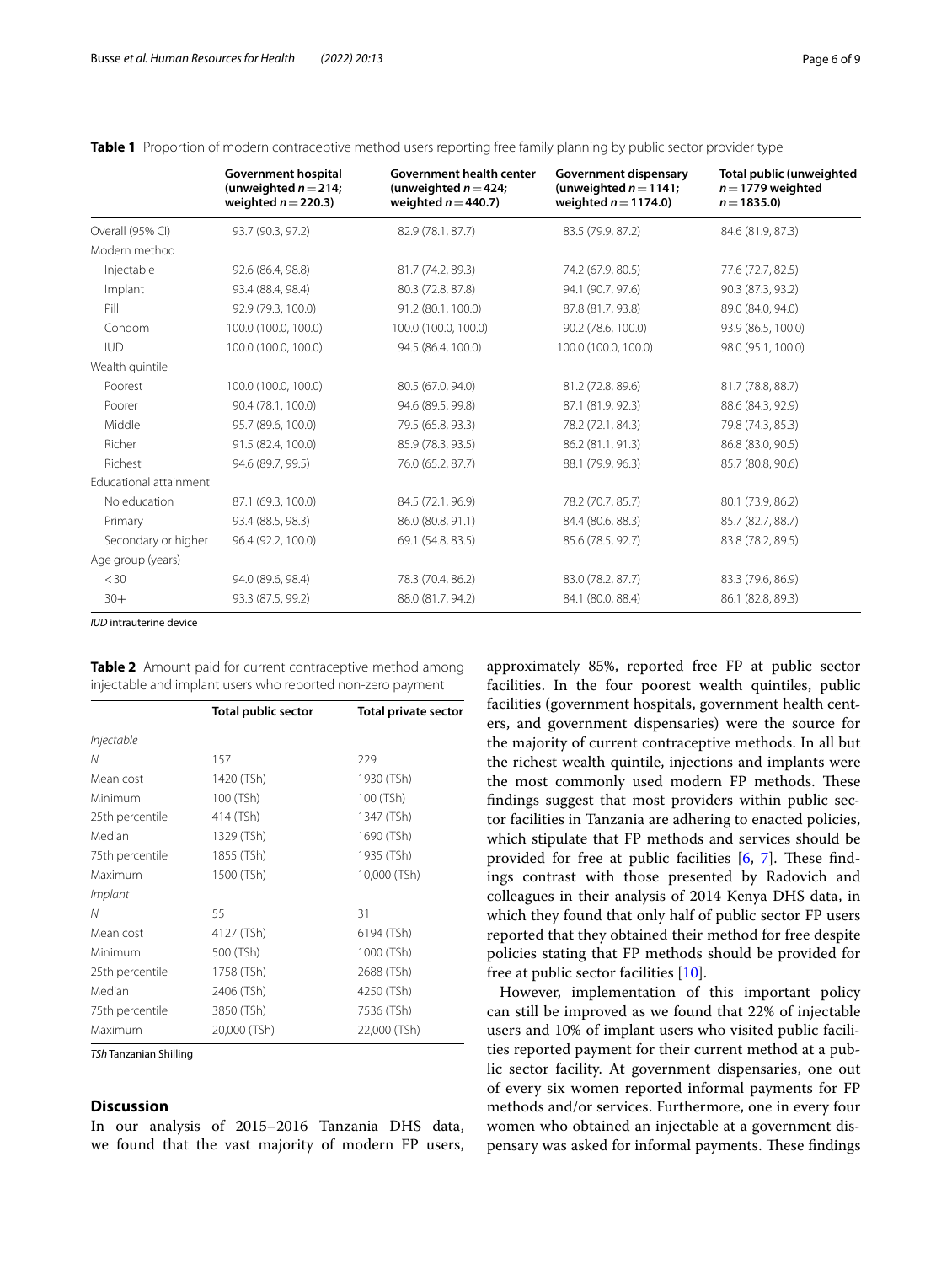|                        | <b>Government hospital</b><br>(unweighted $n = 214$ ;<br>weighted $n = 220.3$ ) | <b>Government health center</b><br>(unweighted $n = 424$ ;<br>weighted $n = 440.7$ ) | <b>Government dispensary</b><br>(unweighted $n = 1141$ ;<br>weighted $n = 1174.0$ ) | Total public (unweighted<br>$n = 1779$ weighted<br>$n = 1835.0$ |
|------------------------|---------------------------------------------------------------------------------|--------------------------------------------------------------------------------------|-------------------------------------------------------------------------------------|-----------------------------------------------------------------|
| Overall (95% CI)       | 93.7 (90.3, 97.2)                                                               | 82.9 (78.1, 87.7)                                                                    | 83.5 (79.9, 87.2)                                                                   | 84.6 (81.9, 87.3)                                               |
| Modern method          |                                                                                 |                                                                                      |                                                                                     |                                                                 |
| Injectable             | 92.6 (86.4, 98.8)                                                               | 81.7 (74.2, 89.3)                                                                    | 74.2 (67.9, 80.5)                                                                   | 77.6 (72.7, 82.5)                                               |
| Implant                | 93.4 (88.4, 98.4)                                                               | 80.3 (72.8, 87.8)                                                                    | 94.1 (90.7, 97.6)                                                                   | 90.3 (87.3, 93.2)                                               |
| Pill                   | 92.9 (79.3, 100.0)                                                              | 91.2 (80.1, 100.0)                                                                   | 87.8 (81.7, 93.8)                                                                   | 89.0 (84.0, 94.0)                                               |
| Condom                 | 100.0 (100.0, 100.0)                                                            | 100.0 (100.0, 100.0)                                                                 | 90.2 (78.6, 100.0)                                                                  | 93.9 (86.5, 100.0)                                              |
| <b>IUD</b>             | 100.0 (100.0, 100.0)                                                            | 94.5 (86.4, 100.0)                                                                   | 100.0 (100.0, 100.0)                                                                | 98.0 (95.1, 100.0)                                              |
| Wealth quintile        |                                                                                 |                                                                                      |                                                                                     |                                                                 |
| Poorest                | 100.0 (100.0, 100.0)                                                            | 80.5 (67.0, 94.0)                                                                    | 81.2 (72.8, 89.6)                                                                   | 81.7 (78.8, 88.7)                                               |
| Poorer                 | 90.4 (78.1, 100.0)                                                              | 94.6 (89.5, 99.8)                                                                    | 87.1 (81.9, 92.3)                                                                   | 88.6 (84.3, 92.9)                                               |
| Middle                 | 95.7 (89.6, 100.0)                                                              | 79.5 (65.8, 93.3)                                                                    | 78.2 (72.1, 84.3)                                                                   | 79.8 (74.3, 85.3)                                               |
| Richer                 | 91.5 (82.4, 100.0)                                                              | 85.9 (78.3, 93.5)                                                                    | 86.2 (81.1, 91.3)                                                                   | 86.8 (83.0, 90.5)                                               |
| Richest                | 94.6 (89.7, 99.5)                                                               | 76.0 (65.2, 87.7)                                                                    | 88.1 (79.9, 96.3)                                                                   | 85.7 (80.8, 90.6)                                               |
| Educational attainment |                                                                                 |                                                                                      |                                                                                     |                                                                 |
| No education           | 87.1 (69.3, 100.0)                                                              | 84.5 (72.1, 96.9)                                                                    | 78.2 (70.7, 85.7)                                                                   | 80.1 (73.9, 86.2)                                               |
| Primary                | 93.4 (88.5, 98.3)                                                               | 86.0 (80.8, 91.1)                                                                    | 84.4 (80.6, 88.3)                                                                   | 85.7 (82.7, 88.7)                                               |
| Secondary or higher    | 96.4 (92.2, 100.0)                                                              | 69.1 (54.8, 83.5)                                                                    | 85.6 (78.5, 92.7)                                                                   | 83.8 (78.2, 89.5)                                               |
| Age group (years)      |                                                                                 |                                                                                      |                                                                                     |                                                                 |
| $<$ 30                 | 94.0 (89.6, 98.4)                                                               | 78.3 (70.4, 86.2)                                                                    | 83.0 (78.2, 87.7)                                                                   | 83.3 (79.6, 86.9)                                               |
| $30+$                  | 93.3 (87.5, 99.2)                                                               | 88.0 (81.7, 94.2)                                                                    | 84.1 (80.0, 88.4)                                                                   | 86.1 (82.8, 89.3)                                               |

<span id="page-5-1"></span>**Table 1** Proportion of modern contraceptive method users reporting free family planning by public sector provider type

*IUD* intrauterine device

<span id="page-5-0"></span>**Table 2** Amount paid for current contraceptive method among injectable and implant users who reported non-zero payment

|                 | <b>Total public sector</b> | <b>Total private sector</b> |
|-----------------|----------------------------|-----------------------------|
| Injectable      |                            |                             |
| N               | 157                        | 229                         |
| Mean cost       | 1420 (TSh)                 | 1930 (TSh)                  |
| Minimum         | 100 (TSh)                  | 100 (TSh)                   |
| 25th percentile | 414 (TSh)                  | 1347 (TSh)                  |
| Median          | 1329 (TSh)                 | 1690 (TSh)                  |
| 75th percentile | 1855 (TSh)                 | 1935 (TSh)                  |
| Maximum         | 1500 (TSh)                 | 10,000 (TSh)                |
| Implant         |                            |                             |
| N               | 55                         | 31                          |
| Mean cost       | 4127 (TSh)                 | 6194 (TSh)                  |
| Minimum         | 500 (TSh)                  | 1000 (TSh)                  |
| 25th percentile | 1758 (TSh)                 | 2688 (TSh)                  |
| Median          | 2406 (TSh)                 | 4250 (TSh)                  |
| 75th percentile | 3850 (TSh)                 | 7536 (TSh)                  |
| Maximum         | 20,000 (TSh)               | 22,000 (TSh)                |

*TSh* Tanzanian Shilling

## **Discussion**

In our analysis of 2015–2016 Tanzania DHS data, we found that the vast majority of modern FP users,

approximately 85%, reported free FP at public sector facilities. In the four poorest wealth quintiles, public facilities (government hospitals, government health centers, and government dispensaries) were the source for the majority of current contraceptive methods. In all but the richest wealth quintile, injections and implants were the most commonly used modern FP methods. These fndings suggest that most providers within public sector facilities in Tanzania are adhering to enacted policies, which stipulate that FP methods and services should be provided for free at public facilities  $[6, 7]$  $[6, 7]$  $[6, 7]$  $[6, 7]$  $[6, 7]$ . These findings contrast with those presented by Radovich and colleagues in their analysis of 2014 Kenya DHS data, in which they found that only half of public sector FP users reported that they obtained their method for free despite policies stating that FP methods should be provided for free at public sector facilities [\[10](#page-8-15)].

However, implementation of this important policy can still be improved as we found that 22% of injectable users and 10% of implant users who visited public facilities reported payment for their current method at a public sector facility. At government dispensaries, one out of every six women reported informal payments for FP methods and/or services. Furthermore, one in every four women who obtained an injectable at a government dispensary was asked for informal payments. These findings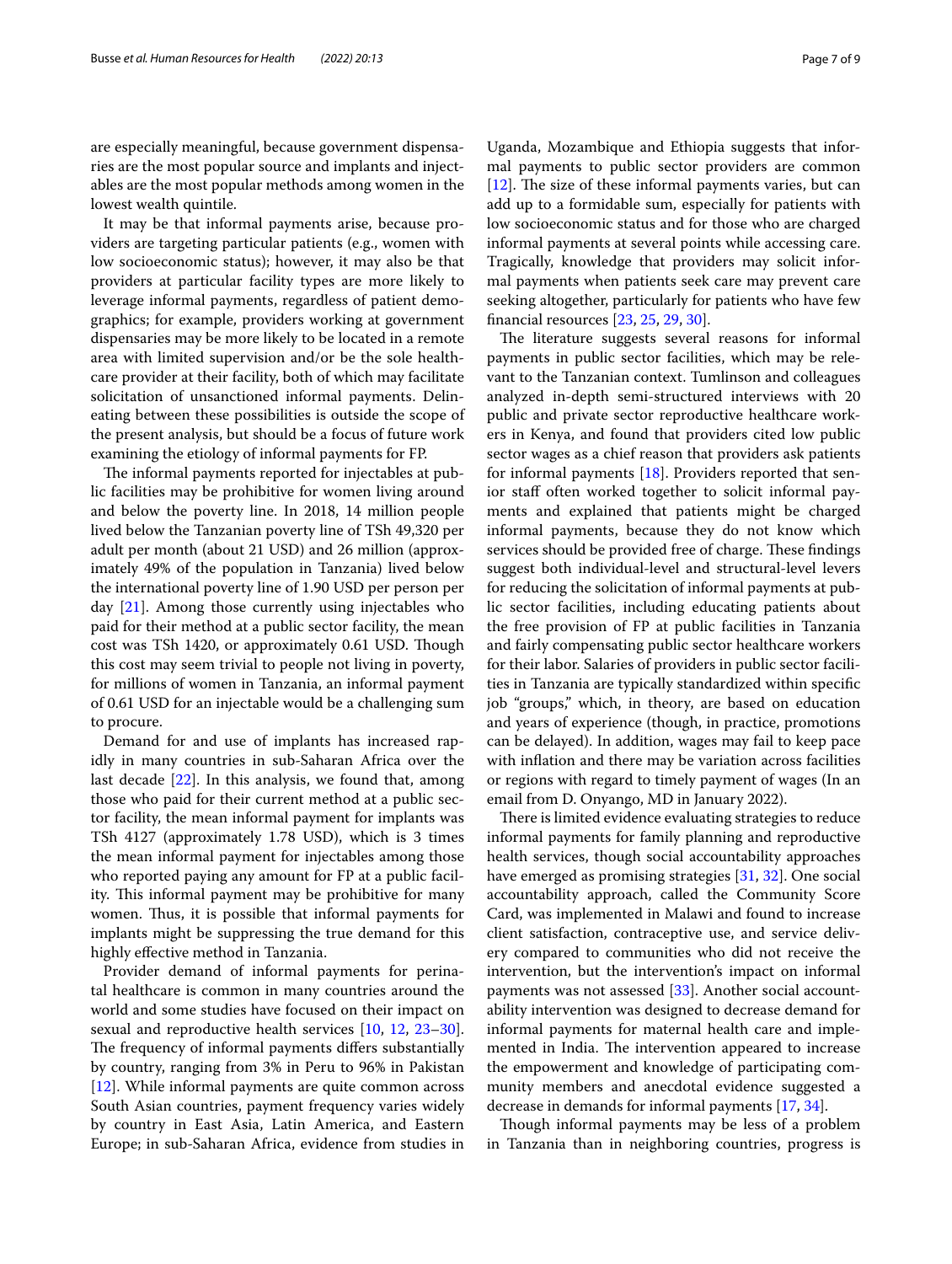are especially meaningful, because government dispensaries are the most popular source and implants and injectables are the most popular methods among women in the lowest wealth quintile.

It may be that informal payments arise, because providers are targeting particular patients (e.g., women with low socioeconomic status); however, it may also be that providers at particular facility types are more likely to leverage informal payments, regardless of patient demographics; for example, providers working at government dispensaries may be more likely to be located in a remote area with limited supervision and/or be the sole healthcare provider at their facility, both of which may facilitate solicitation of unsanctioned informal payments. Delineating between these possibilities is outside the scope of the present analysis, but should be a focus of future work examining the etiology of informal payments for FP.

The informal payments reported for injectables at public facilities may be prohibitive for women living around and below the poverty line. In 2018, 14 million people lived below the Tanzanian poverty line of TSh 49,320 per adult per month (about 21 USD) and 26 million (approximately 49% of the population in Tanzania) lived below the international poverty line of 1.90 USD per person per day [\[21\]](#page-8-18). Among those currently using injectables who paid for their method at a public sector facility, the mean cost was TSh 1420, or approximately 0.61 USD. Though this cost may seem trivial to people not living in poverty, for millions of women in Tanzania, an informal payment of 0.61 USD for an injectable would be a challenging sum to procure.

Demand for and use of implants has increased rapidly in many countries in sub-Saharan Africa over the last decade  $[22]$  $[22]$ . In this analysis, we found that, among those who paid for their current method at a public sector facility, the mean informal payment for implants was TSh 4127 (approximately 1.78 USD), which is 3 times the mean informal payment for injectables among those who reported paying any amount for FP at a public facility. This informal payment may be prohibitive for many women. Thus, it is possible that informal payments for implants might be suppressing the true demand for this highly efective method in Tanzania.

Provider demand of informal payments for perinatal healthcare is common in many countries around the world and some studies have focused on their impact on sexual and reproductive health services [\[10](#page-8-15), [12,](#page-8-9) [23](#page-8-20)[–30](#page-8-21)]. The frequency of informal payments differs substantially by country, ranging from 3% in Peru to 96% in Pakistan [[12\]](#page-8-9). While informal payments are quite common across South Asian countries, payment frequency varies widely by country in East Asia, Latin America, and Eastern Europe; in sub-Saharan Africa, evidence from studies in

Uganda, Mozambique and Ethiopia suggests that informal payments to public sector providers are common  $[12]$  $[12]$ . The size of these informal payments varies, but can add up to a formidable sum, especially for patients with low socioeconomic status and for those who are charged informal payments at several points while accessing care. Tragically, knowledge that providers may solicit informal payments when patients seek care may prevent care seeking altogether, particularly for patients who have few fnancial resources [\[23](#page-8-20), [25,](#page-8-22) [29,](#page-8-23) [30](#page-8-21)].

The literature suggests several reasons for informal payments in public sector facilities, which may be relevant to the Tanzanian context. Tumlinson and colleagues analyzed in-depth semi-structured interviews with 20 public and private sector reproductive healthcare workers in Kenya, and found that providers cited low public sector wages as a chief reason that providers ask patients for informal payments [\[18](#page-8-14)]. Providers reported that senior staff often worked together to solicit informal payments and explained that patients might be charged informal payments, because they do not know which services should be provided free of charge. These findings suggest both individual-level and structural-level levers for reducing the solicitation of informal payments at public sector facilities, including educating patients about the free provision of FP at public facilities in Tanzania and fairly compensating public sector healthcare workers for their labor. Salaries of providers in public sector facilities in Tanzania are typically standardized within specifc job "groups," which, in theory, are based on education and years of experience (though, in practice, promotions can be delayed). In addition, wages may fail to keep pace with infation and there may be variation across facilities or regions with regard to timely payment of wages (In an email from D. Onyango, MD in January 2022).

There is limited evidence evaluating strategies to reduce informal payments for family planning and reproductive health services, though social accountability approaches have emerged as promising strategies [[31,](#page-8-24) [32](#page-8-25)]. One social accountability approach, called the Community Score Card, was implemented in Malawi and found to increase client satisfaction, contraceptive use, and service delivery compared to communities who did not receive the intervention, but the intervention's impact on informal payments was not assessed [[33\]](#page-8-26). Another social accountability intervention was designed to decrease demand for informal payments for maternal health care and implemented in India. The intervention appeared to increase the empowerment and knowledge of participating community members and anecdotal evidence suggested a decrease in demands for informal payments [[17,](#page-8-11) [34\]](#page-8-27).

Though informal payments may be less of a problem in Tanzania than in neighboring countries, progress is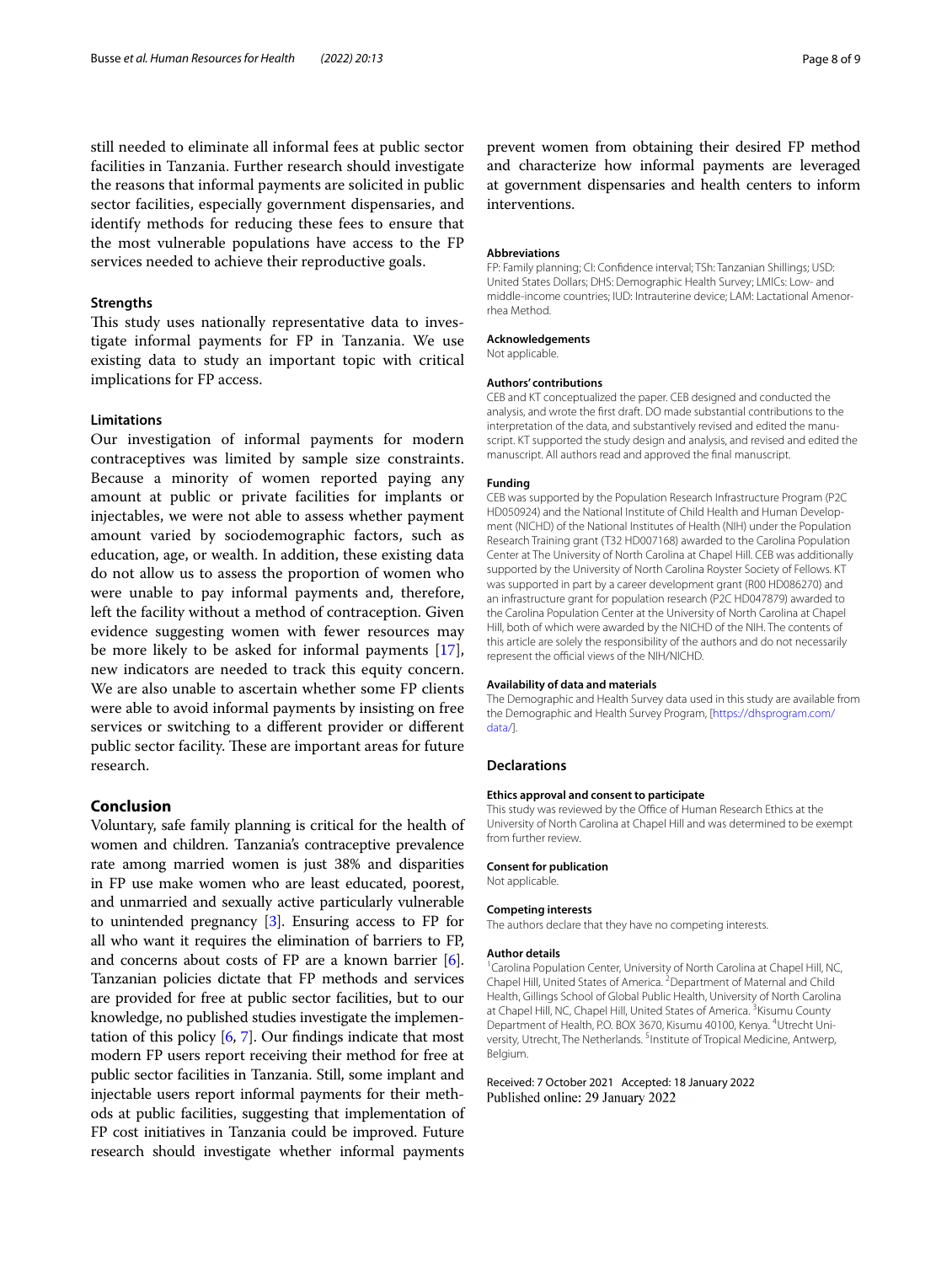still needed to eliminate all informal fees at public sector facilities in Tanzania. Further research should investigate the reasons that informal payments are solicited in public sector facilities, especially government dispensaries, and identify methods for reducing these fees to ensure that the most vulnerable populations have access to the FP services needed to achieve their reproductive goals.

## **Strengths**

This study uses nationally representative data to investigate informal payments for FP in Tanzania. We use existing data to study an important topic with critical implications for FP access.

## **Limitations**

Our investigation of informal payments for modern contraceptives was limited by sample size constraints. Because a minority of women reported paying any amount at public or private facilities for implants or injectables, we were not able to assess whether payment amount varied by sociodemographic factors, such as education, age, or wealth. In addition, these existing data do not allow us to assess the proportion of women who were unable to pay informal payments and, therefore, left the facility without a method of contraception. Given evidence suggesting women with fewer resources may be more likely to be asked for informal payments [\[17](#page-8-11)], new indicators are needed to track this equity concern. We are also unable to ascertain whether some FP clients were able to avoid informal payments by insisting on free services or switching to a diferent provider or diferent public sector facility. These are important areas for future research.

## **Conclusion**

Voluntary, safe family planning is critical for the health of women and children. Tanzania's contraceptive prevalence rate among married women is just 38% and disparities in FP use make women who are least educated, poorest, and unmarried and sexually active particularly vulnerable to unintended pregnancy [\[3](#page-8-2)]. Ensuring access to FP for all who want it requires the elimination of barriers to FP, and concerns about costs of FP are a known barrier [\[6](#page-8-5)]. Tanzanian policies dictate that FP methods and services are provided for free at public sector facilities, but to our knowledge, no published studies investigate the implementation of this policy [\[6,](#page-8-5) [7\]](#page-8-6). Our fndings indicate that most modern FP users report receiving their method for free at public sector facilities in Tanzania. Still, some implant and injectable users report informal payments for their methods at public facilities, suggesting that implementation of FP cost initiatives in Tanzania could be improved. Future research should investigate whether informal payments

prevent women from obtaining their desired FP method and characterize how informal payments are leveraged at government dispensaries and health centers to inform interventions.

#### **Abbreviations**

FP: Family planning; CI: Confdence interval; TSh: Tanzanian Shillings; USD: United States Dollars; DHS: Demographic Health Survey; LMICs: Low- and middle-income countries; IUD: Intrauterine device; LAM: Lactational Amenorrhea Method.

#### **Acknowledgements**

Not applicable.

#### **Authors' contributions**

CEB and KT conceptualized the paper. CEB designed and conducted the analysis, and wrote the frst draft. DO made substantial contributions to the interpretation of the data, and substantively revised and edited the manuscript. KT supported the study design and analysis, and revised and edited the manuscript. All authors read and approved the fnal manuscript.

#### **Funding**

CEB was supported by the Population Research Infrastructure Program (P2C HD050924) and the National Institute of Child Health and Human Development (NICHD) of the National Institutes of Health (NIH) under the Population Research Training grant (T32 HD007168) awarded to the Carolina Population Center at The University of North Carolina at Chapel Hill. CEB was additionally supported by the University of North Carolina Royster Society of Fellows. KT was supported in part by a career development grant (R00 HD086270) and an infrastructure grant for population research (P2C HD047879) awarded to the Carolina Population Center at the University of North Carolina at Chapel Hill, both of which were awarded by the NICHD of the NIH. The contents of this article are solely the responsibility of the authors and do not necessarily represent the official views of the NIH/NICHD.

#### **Availability of data and materials**

The Demographic and Health Survey data used in this study are available from the Demographic and Health Survey Program, [\[https://dhsprogram.com/](https://dhsprogram.com/data/) [data/\]](https://dhsprogram.com/data/).

#### **Declarations**

#### **Ethics approval and consent to participate**

This study was reviewed by the Office of Human Research Ethics at the University of North Carolina at Chapel Hill and was determined to be exempt from further review.

#### **Consent for publication**

Not applicable.

#### **Competing interests**

The authors declare that they have no competing interests.

#### **Author details**

<sup>1</sup> Carolina Population Center, University of North Carolina at Chapel Hill, NC, Chapel Hill, United States of America. <sup>2</sup> Department of Maternal and Child Health, Gillings School of Global Public Health, University of North Carolina at Chapel Hill, NC, Chapel Hill, United States of America. <sup>3</sup> Kisumu County Department of Health, P.O. BOX 3670, Kisumu 40100, Kenya. <sup>4</sup>Utrecht University, Utrecht, The Netherlands. <sup>5</sup>Institute of Tropical Medicine, Antwerp, Belgium.

Received: 7 October 2021 Accepted: 18 January 2022Published online: 29 January 2022